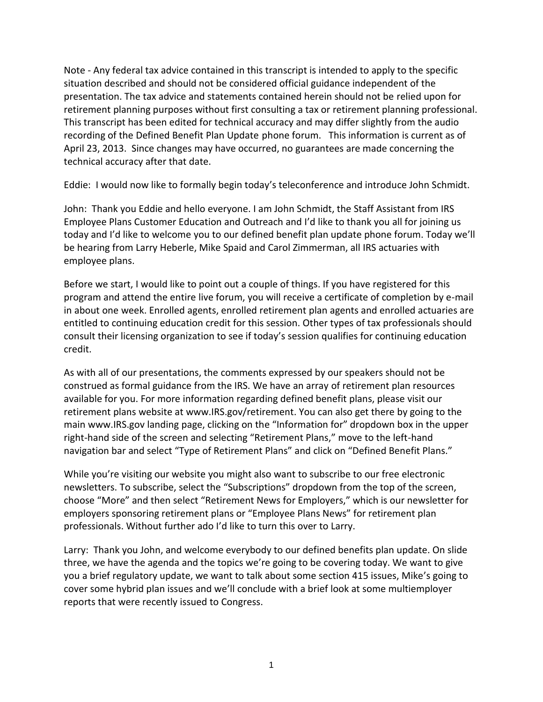Note - Any federal tax advice contained in this transcript is intended to apply to the specific situation described and should not be considered official guidance independent of the presentation. The tax advice and statements contained herein should not be relied upon for retirement planning purposes without first consulting a tax or retirement planning professional. This transcript has been edited for technical accuracy and may differ slightly from the audio recording of the Defined Benefit Plan Update phone forum. This information is current as of April 23, 2013. Since changes may have occurred, no guarantees are made concerning the technical accuracy after that date.

Eddie: I would now like to formally begin today's teleconference and introduce John Schmidt.

John: Thank you Eddie and hello everyone. I am John Schmidt, the Staff Assistant from IRS Employee Plans Customer Education and Outreach and I'd like to thank you all for joining us today and I'd like to welcome you to our defined benefit plan update phone forum. Today we'll be hearing from Larry Heberle, Mike Spaid and Carol Zimmerman, all IRS actuaries with employee plans.

Before we start, I would like to point out a couple of things. If you have registered for this program and attend the entire live forum, you will receive a certificate of completion by e-mail in about one week. Enrolled agents, enrolled retirement plan agents and enrolled actuaries are entitled to continuing education credit for this session. Other types of tax professionals should consult their licensing organization to see if today's session qualifies for continuing education credit.

As with all of our presentations, the comments expressed by our speakers should not be construed as formal guidance from the IRS. We have an array of retirement plan resources available for you. For more information regarding defined benefit plans, please visit our retirement plans website at www.IRS.gov/retirement. You can also get there by going to the main www.IRS.gov landing page, clicking on the "Information for" dropdown box in the upper right-hand side of the screen and selecting "Retirement Plans," move to the left-hand navigation bar and select "Type of Retirement Plans" and click on "Defined Benefit Plans."

While you're visiting our website you might also want to subscribe to our free electronic newsletters. To subscribe, select the "Subscriptions" dropdown from the top of the screen, choose "More" and then select "Retirement News for Employers," which is our newsletter for employers sponsoring retirement plans or "Employee Plans News" for retirement plan professionals. Without further ado I'd like to turn this over to Larry.

Larry: Thank you John, and welcome everybody to our defined benefits plan update. On slide three, we have the agenda and the topics we're going to be covering today. We want to give you a brief regulatory update, we want to talk about some section 415 issues, Mike's going to cover some hybrid plan issues and we'll conclude with a brief look at some multiemployer reports that were recently issued to Congress.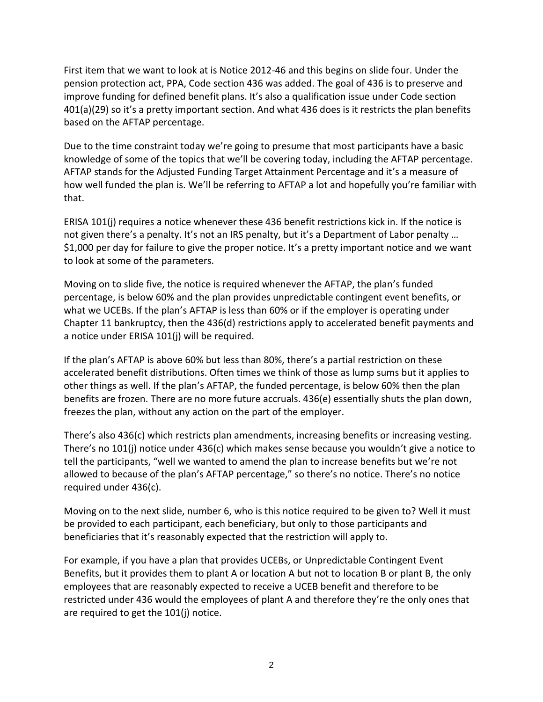First item that we want to look at is Notice 2012-46 and this begins on slide four. Under the pension protection act, PPA, Code section 436 was added. The goal of 436 is to preserve and improve funding for defined benefit plans. It's also a qualification issue under Code section 401(a)(29) so it's a pretty important section. And what 436 does is it restricts the plan benefits based on the AFTAP percentage.

Due to the time constraint today we're going to presume that most participants have a basic knowledge of some of the topics that we'll be covering today, including the AFTAP percentage. AFTAP stands for the Adjusted Funding Target Attainment Percentage and it's a measure of how well funded the plan is. We'll be referring to AFTAP a lot and hopefully you're familiar with that.

ERISA 101(j) requires a notice whenever these 436 benefit restrictions kick in. If the notice is not given there's a penalty. It's not an IRS penalty, but it's a Department of Labor penalty … \$1,000 per day for failure to give the proper notice. It's a pretty important notice and we want to look at some of the parameters.

Moving on to slide five, the notice is required whenever the AFTAP, the plan's funded percentage, is below 60% and the plan provides unpredictable contingent event benefits, or what we UCEBs. If the plan's AFTAP is less than 60% or if the employer is operating under Chapter 11 bankruptcy, then the 436(d) restrictions apply to accelerated benefit payments and a notice under ERISA 101(j) will be required.

If the plan's AFTAP is above 60% but less than 80%, there's a partial restriction on these accelerated benefit distributions. Often times we think of those as lump sums but it applies to other things as well. If the plan's AFTAP, the funded percentage, is below 60% then the plan benefits are frozen. There are no more future accruals. 436(e) essentially shuts the plan down, freezes the plan, without any action on the part of the employer.

There's also 436(c) which restricts plan amendments, increasing benefits or increasing vesting. There's no 101(j) notice under 436(c) which makes sense because you wouldn't give a notice to tell the participants, "well we wanted to amend the plan to increase benefits but we're not allowed to because of the plan's AFTAP percentage," so there's no notice. There's no notice required under 436(c).

Moving on to the next slide, number 6, who is this notice required to be given to? Well it must be provided to each participant, each beneficiary, but only to those participants and beneficiaries that it's reasonably expected that the restriction will apply to.

For example, if you have a plan that provides UCEBs, or Unpredictable Contingent Event Benefits, but it provides them to plant A or location A but not to location B or plant B, the only employees that are reasonably expected to receive a UCEB benefit and therefore to be restricted under 436 would the employees of plant A and therefore they're the only ones that are required to get the 101(j) notice.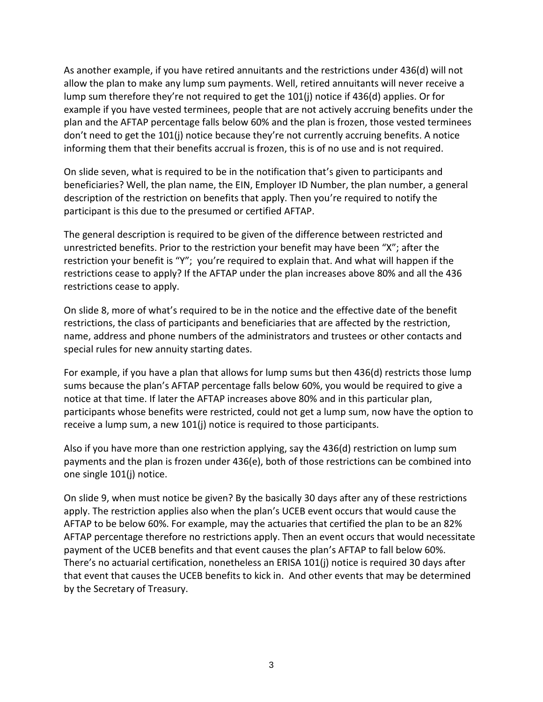As another example, if you have retired annuitants and the restrictions under 436(d) will not allow the plan to make any lump sum payments. Well, retired annuitants will never receive a lump sum therefore they're not required to get the 101(j) notice if 436(d) applies. Or for example if you have vested terminees, people that are not actively accruing benefits under the plan and the AFTAP percentage falls below 60% and the plan is frozen, those vested terminees don't need to get the 101(j) notice because they're not currently accruing benefits. A notice informing them that their benefits accrual is frozen, this is of no use and is not required.

On slide seven, what is required to be in the notification that's given to participants and beneficiaries? Well, the plan name, the EIN, Employer ID Number, the plan number, a general description of the restriction on benefits that apply. Then you're required to notify the participant is this due to the presumed or certified AFTAP.

The general description is required to be given of the difference between restricted and unrestricted benefits. Prior to the restriction your benefit may have been "X"; after the restriction your benefit is "Y"; you're required to explain that. And what will happen if the restrictions cease to apply? If the AFTAP under the plan increases above 80% and all the 436 restrictions cease to apply.

On slide 8, more of what's required to be in the notice and the effective date of the benefit restrictions, the class of participants and beneficiaries that are affected by the restriction, name, address and phone numbers of the administrators and trustees or other contacts and special rules for new annuity starting dates.

For example, if you have a plan that allows for lump sums but then 436(d) restricts those lump sums because the plan's AFTAP percentage falls below 60%, you would be required to give a notice at that time. If later the AFTAP increases above 80% and in this particular plan, participants whose benefits were restricted, could not get a lump sum, now have the option to receive a lump sum, a new 101(j) notice is required to those participants.

Also if you have more than one restriction applying, say the 436(d) restriction on lump sum payments and the plan is frozen under 436(e), both of those restrictions can be combined into one single 101(j) notice.

On slide 9, when must notice be given? By the basically 30 days after any of these restrictions apply. The restriction applies also when the plan's UCEB event occurs that would cause the AFTAP to be below 60%. For example, may the actuaries that certified the plan to be an 82% AFTAP percentage therefore no restrictions apply. Then an event occurs that would necessitate payment of the UCEB benefits and that event causes the plan's AFTAP to fall below 60%. There's no actuarial certification, nonetheless an ERISA 101(j) notice is required 30 days after that event that causes the UCEB benefits to kick in. And other events that may be determined by the Secretary of Treasury.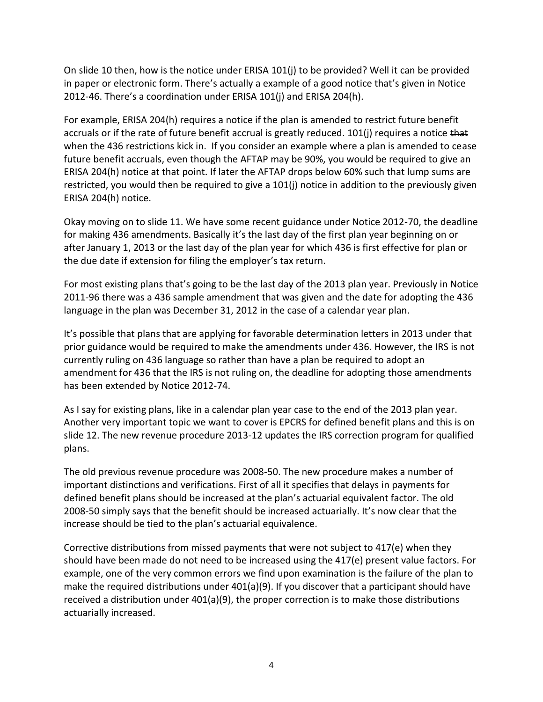On slide 10 then, how is the notice under ERISA 101(j) to be provided? Well it can be provided in paper or electronic form. There's actually a example of a good notice that's given in Notice 2012-46. There's a coordination under ERISA 101(j) and ERISA 204(h).

For example, ERISA 204(h) requires a notice if the plan is amended to restrict future benefit accruals or if the rate of future benefit accrual is greatly reduced. 101(j) requires a notice that when the 436 restrictions kick in. If you consider an example where a plan is amended to cease future benefit accruals, even though the AFTAP may be 90%, you would be required to give an ERISA 204(h) notice at that point. If later the AFTAP drops below 60% such that lump sums are restricted, you would then be required to give a 101(j) notice in addition to the previously given ERISA 204(h) notice.

Okay moving on to slide 11. We have some recent guidance under Notice 2012-70, the deadline for making 436 amendments. Basically it's the last day of the first plan year beginning on or after January 1, 2013 or the last day of the plan year for which 436 is first effective for plan or the due date if extension for filing the employer's tax return.

For most existing plans that's going to be the last day of the 2013 plan year. Previously in Notice 2011-96 there was a 436 sample amendment that was given and the date for adopting the 436 language in the plan was December 31, 2012 in the case of a calendar year plan.

It's possible that plans that are applying for favorable determination letters in 2013 under that prior guidance would be required to make the amendments under 436. However, the IRS is not currently ruling on 436 language so rather than have a plan be required to adopt an amendment for 436 that the IRS is not ruling on, the deadline for adopting those amendments has been extended by Notice 2012-74.

As I say for existing plans, like in a calendar plan year case to the end of the 2013 plan year. Another very important topic we want to cover is EPCRS for defined benefit plans and this is on slide 12. The new revenue procedure 2013-12 updates the IRS correction program for qualified plans.

The old previous revenue procedure was 2008-50. The new procedure makes a number of important distinctions and verifications. First of all it specifies that delays in payments for defined benefit plans should be increased at the plan's actuarial equivalent factor. The old 2008-50 simply says that the benefit should be increased actuarially. It's now clear that the increase should be tied to the plan's actuarial equivalence.

Corrective distributions from missed payments that were not subject to 417(e) when they should have been made do not need to be increased using the 417(e) present value factors. For example, one of the very common errors we find upon examination is the failure of the plan to make the required distributions under 401(a)(9). If you discover that a participant should have received a distribution under 401(a)(9), the proper correction is to make those distributions actuarially increased.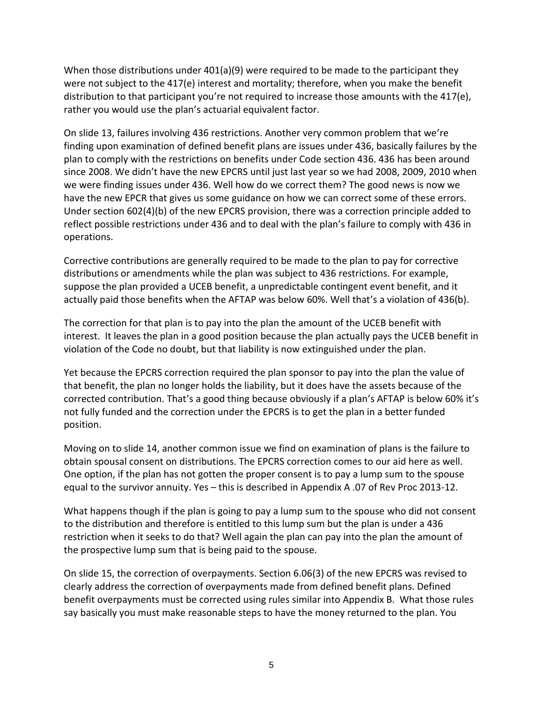When those distributions under  $401(a)(9)$  were required to be made to the participant they were not subject to the 417(e) interest and mortality; therefore, when you make the benefit distribution to that participant you're not required to increase those amounts with the 417(e), rather you would use the plan's actuarial equivalent factor.

On slide 13, failures involving 436 restrictions. Another very common problem that we're finding upon examination of defined benefit plans are issues under 436, basically failures by the plan to comply with the restrictions on benefits under Code section 436. 436 has been around since 2008. We didn't have the new EPCRS until just last year so we had 2008, 2009, 2010 when we were finding issues under 436. Well how do we correct them? The good news is now we have the new EPCR that gives us some guidance on how we can correct some of these errors. Under section 602(4)(b) of the new EPCRS provision, there was a correction principle added to reflect possible restrictions under 436 and to deal with the plan's failure to comply with 436 in operations.

Corrective contributions are generally required to be made to the plan to pay for corrective distributions or amendments while the plan was subject to 436 restrictions. For example, suppose the plan provided a UCEB benefit, a unpredictable contingent event benefit, and it actually paid those benefits when the AFTAP was below 60%. Well that's a violation of 436(b).

The correction for that plan is to pay into the plan the amount of the UCEB benefit with interest. It leaves the plan in a good position because the plan actually pays the UCEB benefit in violation of the Code no doubt, but that liability is now extinguished under the plan.

Yet because the EPCRS correction required the plan sponsor to pay into the plan the value of that benefit, the plan no longer holds the liability, but it does have the assets because of the corrected contribution. That's a good thing because obviously if a plan's AFTAP is below 60% it's not fully funded and the correction under the EPCRS is to get the plan in a better funded position.

Moving on to slide 14, another common issue we find on examination of plans is the failure to obtain spousal consent on distributions. The EPCRS correction comes to our aid here as well. One option, if the plan has not gotten the proper consent is to pay a lump sum to the spouse equal to the survivor annuity. Yes – this is described in Appendix A .07 of Rev Proc 2013-12.

What happens though if the plan is going to pay a lump sum to the spouse who did not consent to the distribution and therefore is entitled to this lump sum but the plan is under a 436 restriction when it seeks to do that? Well again the plan can pay into the plan the amount of the prospective lump sum that is being paid to the spouse.

On slide 15, the correction of overpayments. Section 6.06(3) of the new EPCRS was revised to clearly address the correction of overpayments made from defined benefit plans. Defined benefit overpayments must be corrected using rules similar into Appendix B. What those rules say basically you must make reasonable steps to have the money returned to the plan. You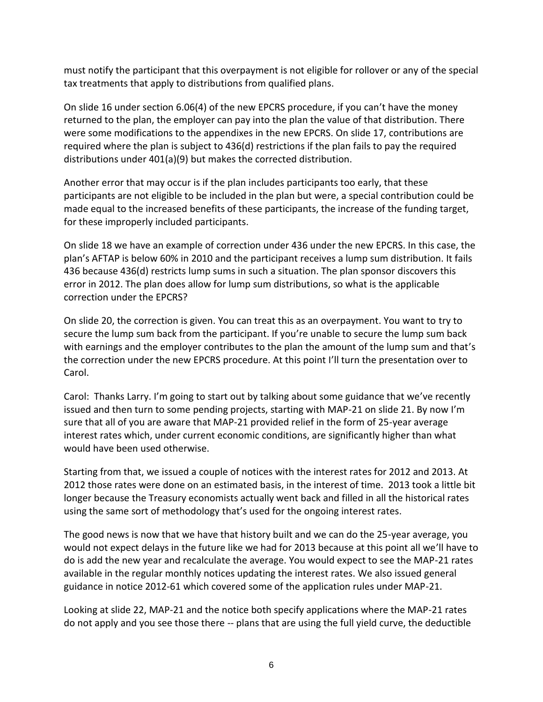must notify the participant that this overpayment is not eligible for rollover or any of the special tax treatments that apply to distributions from qualified plans.

On slide 16 under section 6.06(4) of the new EPCRS procedure, if you can't have the money returned to the plan, the employer can pay into the plan the value of that distribution. There were some modifications to the appendixes in the new EPCRS. On slide 17, contributions are required where the plan is subject to 436(d) restrictions if the plan fails to pay the required distributions under 401(a)(9) but makes the corrected distribution.

Another error that may occur is if the plan includes participants too early, that these participants are not eligible to be included in the plan but were, a special contribution could be made equal to the increased benefits of these participants, the increase of the funding target, for these improperly included participants.

On slide 18 we have an example of correction under 436 under the new EPCRS. In this case, the plan's AFTAP is below 60% in 2010 and the participant receives a lump sum distribution. It fails 436 because 436(d) restricts lump sums in such a situation. The plan sponsor discovers this error in 2012. The plan does allow for lump sum distributions, so what is the applicable correction under the EPCRS?

On slide 20, the correction is given. You can treat this as an overpayment. You want to try to secure the lump sum back from the participant. If you're unable to secure the lump sum back with earnings and the employer contributes to the plan the amount of the lump sum and that's the correction under the new EPCRS procedure. At this point I'll turn the presentation over to Carol.

Carol: Thanks Larry. I'm going to start out by talking about some guidance that we've recently issued and then turn to some pending projects, starting with MAP-21 on slide 21. By now I'm sure that all of you are aware that MAP-21 provided relief in the form of 25-year average interest rates which, under current economic conditions, are significantly higher than what would have been used otherwise.

Starting from that, we issued a couple of notices with the interest rates for 2012 and 2013. At 2012 those rates were done on an estimated basis, in the interest of time. 2013 took a little bit longer because the Treasury economists actually went back and filled in all the historical rates using the same sort of methodology that's used for the ongoing interest rates.

The good news is now that we have that history built and we can do the 25-year average, you would not expect delays in the future like we had for 2013 because at this point all we'll have to do is add the new year and recalculate the average. You would expect to see the MAP-21 rates available in the regular monthly notices updating the interest rates. We also issued general guidance in notice 2012-61 which covered some of the application rules under MAP-21.

Looking at slide 22, MAP-21 and the notice both specify applications where the MAP-21 rates do not apply and you see those there -- plans that are using the full yield curve, the deductible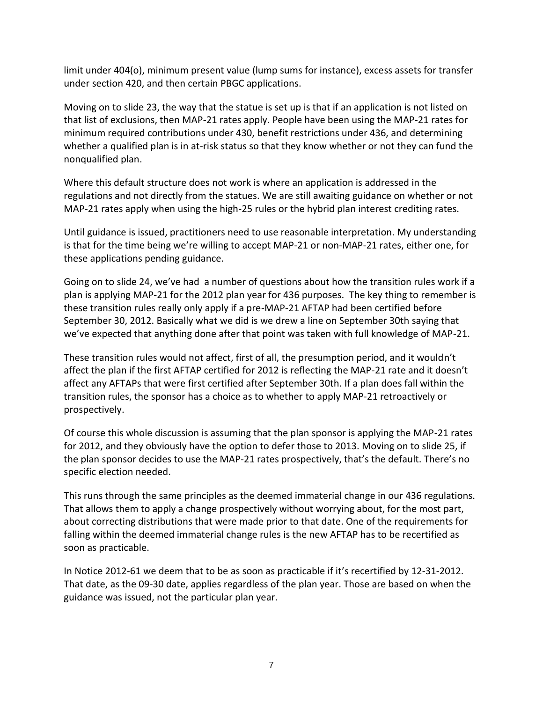limit under 404(o), minimum present value (lump sums for instance), excess assets for transfer under section 420, and then certain PBGC applications.

Moving on to slide 23, the way that the statue is set up is that if an application is not listed on that list of exclusions, then MAP-21 rates apply. People have been using the MAP-21 rates for minimum required contributions under 430, benefit restrictions under 436, and determining whether a qualified plan is in at-risk status so that they know whether or not they can fund the nonqualified plan.

Where this default structure does not work is where an application is addressed in the regulations and not directly from the statues. We are still awaiting guidance on whether or not MAP-21 rates apply when using the high-25 rules or the hybrid plan interest crediting rates.

Until guidance is issued, practitioners need to use reasonable interpretation. My understanding is that for the time being we're willing to accept MAP-21 or non-MAP-21 rates, either one, for these applications pending guidance.

Going on to slide 24, we've had a number of questions about how the transition rules work if a plan is applying MAP-21 for the 2012 plan year for 436 purposes. The key thing to remember is these transition rules really only apply if a pre-MAP-21 AFTAP had been certified before September 30, 2012. Basically what we did is we drew a line on September 30th saying that we've expected that anything done after that point was taken with full knowledge of MAP-21.

These transition rules would not affect, first of all, the presumption period, and it wouldn't affect the plan if the first AFTAP certified for 2012 is reflecting the MAP-21 rate and it doesn't affect any AFTAPs that were first certified after September 30th. If a plan does fall within the transition rules, the sponsor has a choice as to whether to apply MAP-21 retroactively or prospectively.

Of course this whole discussion is assuming that the plan sponsor is applying the MAP-21 rates for 2012, and they obviously have the option to defer those to 2013. Moving on to slide 25, if the plan sponsor decides to use the MAP-21 rates prospectively, that's the default. There's no specific election needed.

This runs through the same principles as the deemed immaterial change in our 436 regulations. That allows them to apply a change prospectively without worrying about, for the most part, about correcting distributions that were made prior to that date. One of the requirements for falling within the deemed immaterial change rules is the new AFTAP has to be recertified as soon as practicable.

In Notice 2012-61 we deem that to be as soon as practicable if it's recertified by 12-31-2012. That date, as the 09-30 date, applies regardless of the plan year. Those are based on when the guidance was issued, not the particular plan year.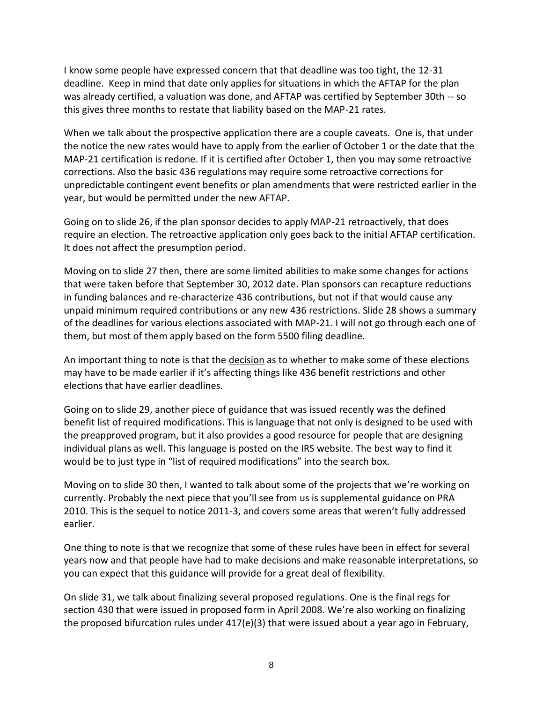I know some people have expressed concern that that deadline was too tight, the 12-31 deadline. Keep in mind that date only applies for situations in which the AFTAP for the plan was already certified, a valuation was done, and AFTAP was certified by September 30th -- so this gives three months to restate that liability based on the MAP-21 rates.

When we talk about the prospective application there are a couple caveats. One is, that under the notice the new rates would have to apply from the earlier of October 1 or the date that the MAP-21 certification is redone. If it is certified after October 1, then you may some retroactive corrections. Also the basic 436 regulations may require some retroactive corrections for unpredictable contingent event benefits or plan amendments that were restricted earlier in the year, but would be permitted under the new AFTAP.

Going on to slide 26, if the plan sponsor decides to apply MAP-21 retroactively, that does require an election. The retroactive application only goes back to the initial AFTAP certification. It does not affect the presumption period.

Moving on to slide 27 then, there are some limited abilities to make some changes for actions that were taken before that September 30, 2012 date. Plan sponsors can recapture reductions in funding balances and re-characterize 436 contributions, but not if that would cause any unpaid minimum required contributions or any new 436 restrictions. Slide 28 shows a summary of the deadlines for various elections associated with MAP-21. I will not go through each one of them, but most of them apply based on the form 5500 filing deadline.

An important thing to note is that the decision as to whether to make some of these elections may have to be made earlier if it's affecting things like 436 benefit restrictions and other elections that have earlier deadlines.

Going on to slide 29, another piece of guidance that was issued recently was the defined benefit list of required modifications. This is language that not only is designed to be used with the preapproved program, but it also provides a good resource for people that are designing individual plans as well. This language is posted on the IRS website. The best way to find it would be to just type in "list of required modifications" into the search box.

Moving on to slide 30 then, I wanted to talk about some of the projects that we're working on currently. Probably the next piece that you'll see from us is supplemental guidance on PRA 2010. This is the sequel to notice 2011-3, and covers some areas that weren't fully addressed earlier.

One thing to note is that we recognize that some of these rules have been in effect for several years now and that people have had to make decisions and make reasonable interpretations, so you can expect that this guidance will provide for a great deal of flexibility.

On slide 31, we talk about finalizing several proposed regulations. One is the final regs for section 430 that were issued in proposed form in April 2008. We're also working on finalizing the proposed bifurcation rules under 417(e)(3) that were issued about a year ago in February,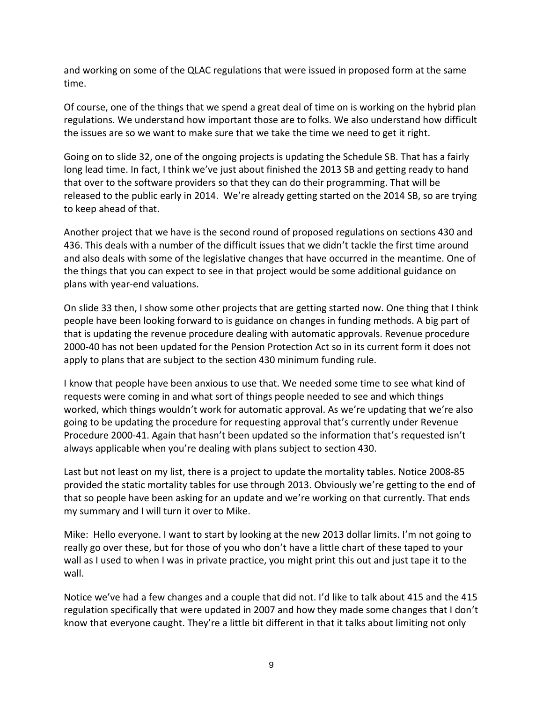and working on some of the QLAC regulations that were issued in proposed form at the same time.

Of course, one of the things that we spend a great deal of time on is working on the hybrid plan regulations. We understand how important those are to folks. We also understand how difficult the issues are so we want to make sure that we take the time we need to get it right.

Going on to slide 32, one of the ongoing projects is updating the Schedule SB. That has a fairly long lead time. In fact, I think we've just about finished the 2013 SB and getting ready to hand that over to the software providers so that they can do their programming. That will be released to the public early in 2014. We're already getting started on the 2014 SB, so are trying to keep ahead of that.

Another project that we have is the second round of proposed regulations on sections 430 and 436. This deals with a number of the difficult issues that we didn't tackle the first time around and also deals with some of the legislative changes that have occurred in the meantime. One of the things that you can expect to see in that project would be some additional guidance on plans with year-end valuations.

On slide 33 then, I show some other projects that are getting started now. One thing that I think people have been looking forward to is guidance on changes in funding methods. A big part of that is updating the revenue procedure dealing with automatic approvals. Revenue procedure 2000-40 has not been updated for the Pension Protection Act so in its current form it does not apply to plans that are subject to the section 430 minimum funding rule.

I know that people have been anxious to use that. We needed some time to see what kind of requests were coming in and what sort of things people needed to see and which things worked, which things wouldn't work for automatic approval. As we're updating that we're also going to be updating the procedure for requesting approval that's currently under Revenue Procedure 2000-41. Again that hasn't been updated so the information that's requested isn't always applicable when you're dealing with plans subject to section 430.

Last but not least on my list, there is a project to update the mortality tables. Notice 2008-85 provided the static mortality tables for use through 2013. Obviously we're getting to the end of that so people have been asking for an update and we're working on that currently. That ends my summary and I will turn it over to Mike.

Mike: Hello everyone. I want to start by looking at the new 2013 dollar limits. I'm not going to really go over these, but for those of you who don't have a little chart of these taped to your wall as I used to when I was in private practice, you might print this out and just tape it to the wall.

Notice we've had a few changes and a couple that did not. I'd like to talk about 415 and the 415 regulation specifically that were updated in 2007 and how they made some changes that I don't know that everyone caught. They're a little bit different in that it talks about limiting not only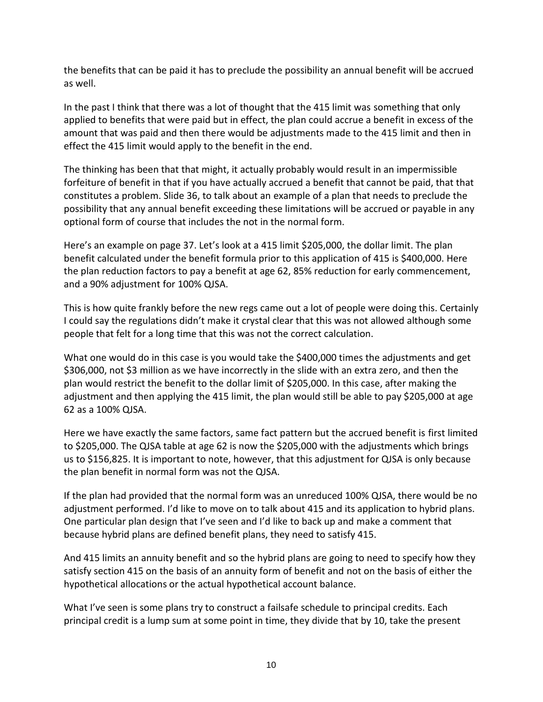the benefits that can be paid it has to preclude the possibility an annual benefit will be accrued as well.

In the past I think that there was a lot of thought that the 415 limit was something that only applied to benefits that were paid but in effect, the plan could accrue a benefit in excess of the amount that was paid and then there would be adjustments made to the 415 limit and then in effect the 415 limit would apply to the benefit in the end.

The thinking has been that that might, it actually probably would result in an impermissible forfeiture of benefit in that if you have actually accrued a benefit that cannot be paid, that that constitutes a problem. Slide 36, to talk about an example of a plan that needs to preclude the possibility that any annual benefit exceeding these limitations will be accrued or payable in any optional form of course that includes the not in the normal form.

Here's an example on page 37. Let's look at a 415 limit \$205,000, the dollar limit. The plan benefit calculated under the benefit formula prior to this application of 415 is \$400,000. Here the plan reduction factors to pay a benefit at age 62, 85% reduction for early commencement, and a 90% adjustment for 100% QJSA.

This is how quite frankly before the new regs came out a lot of people were doing this. Certainly I could say the regulations didn't make it crystal clear that this was not allowed although some people that felt for a long time that this was not the correct calculation.

What one would do in this case is you would take the \$400,000 times the adjustments and get \$306,000, not \$3 million as we have incorrectly in the slide with an extra zero, and then the plan would restrict the benefit to the dollar limit of \$205,000. In this case, after making the adjustment and then applying the 415 limit, the plan would still be able to pay \$205,000 at age 62 as a 100% QJSA.

Here we have exactly the same factors, same fact pattern but the accrued benefit is first limited to \$205,000. The QJSA table at age 62 is now the \$205,000 with the adjustments which brings us to \$156,825. It is important to note, however, that this adjustment for QJSA is only because the plan benefit in normal form was not the QJSA.

If the plan had provided that the normal form was an unreduced 100% QJSA, there would be no adjustment performed. I'd like to move on to talk about 415 and its application to hybrid plans. One particular plan design that I've seen and I'd like to back up and make a comment that because hybrid plans are defined benefit plans, they need to satisfy 415.

And 415 limits an annuity benefit and so the hybrid plans are going to need to specify how they satisfy section 415 on the basis of an annuity form of benefit and not on the basis of either the hypothetical allocations or the actual hypothetical account balance.

What I've seen is some plans try to construct a failsafe schedule to principal credits. Each principal credit is a lump sum at some point in time, they divide that by 10, take the present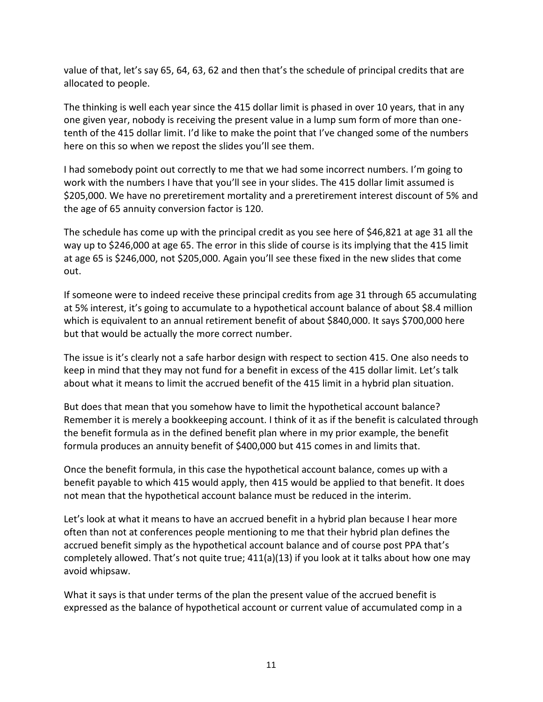value of that, let's say 65, 64, 63, 62 and then that's the schedule of principal credits that are allocated to people.

The thinking is well each year since the 415 dollar limit is phased in over 10 years, that in any one given year, nobody is receiving the present value in a lump sum form of more than onetenth of the 415 dollar limit. I'd like to make the point that I've changed some of the numbers here on this so when we repost the slides you'll see them.

I had somebody point out correctly to me that we had some incorrect numbers. I'm going to work with the numbers I have that you'll see in your slides. The 415 dollar limit assumed is \$205,000. We have no preretirement mortality and a preretirement interest discount of 5% and the age of 65 annuity conversion factor is 120.

The schedule has come up with the principal credit as you see here of \$46,821 at age 31 all the way up to \$246,000 at age 65. The error in this slide of course is its implying that the 415 limit at age 65 is \$246,000, not \$205,000. Again you'll see these fixed in the new slides that come out.

If someone were to indeed receive these principal credits from age 31 through 65 accumulating at 5% interest, it's going to accumulate to a hypothetical account balance of about \$8.4 million which is equivalent to an annual retirement benefit of about \$840,000. It says \$700,000 here but that would be actually the more correct number.

The issue is it's clearly not a safe harbor design with respect to section 415. One also needs to keep in mind that they may not fund for a benefit in excess of the 415 dollar limit. Let's talk about what it means to limit the accrued benefit of the 415 limit in a hybrid plan situation.

But does that mean that you somehow have to limit the hypothetical account balance? Remember it is merely a bookkeeping account. I think of it as if the benefit is calculated through the benefit formula as in the defined benefit plan where in my prior example, the benefit formula produces an annuity benefit of \$400,000 but 415 comes in and limits that.

Once the benefit formula, in this case the hypothetical account balance, comes up with a benefit payable to which 415 would apply, then 415 would be applied to that benefit. It does not mean that the hypothetical account balance must be reduced in the interim.

Let's look at what it means to have an accrued benefit in a hybrid plan because I hear more often than not at conferences people mentioning to me that their hybrid plan defines the accrued benefit simply as the hypothetical account balance and of course post PPA that's completely allowed. That's not quite true; 411(a)(13) if you look at it talks about how one may avoid whipsaw.

What it says is that under terms of the plan the present value of the accrued benefit is expressed as the balance of hypothetical account or current value of accumulated comp in a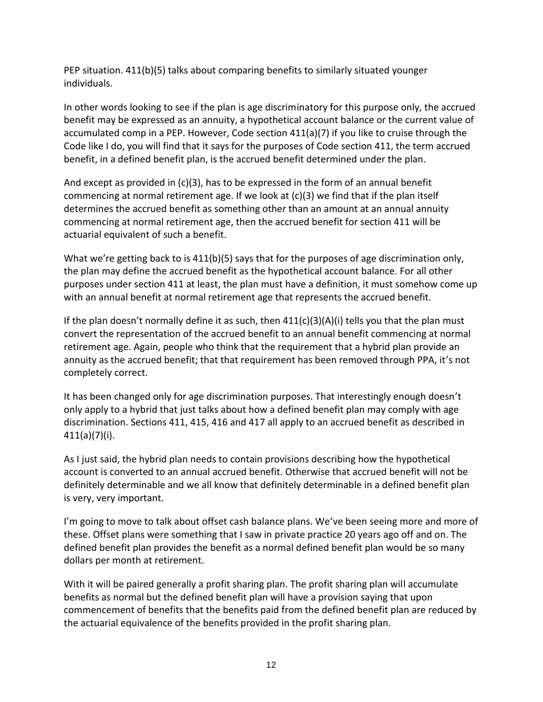PEP situation. 411(b)(5) talks about comparing benefits to similarly situated younger individuals.

In other words looking to see if the plan is age discriminatory for this purpose only, the accrued benefit may be expressed as an annuity, a hypothetical account balance or the current value of accumulated comp in a PEP. However, Code section 411(a)(7) if you like to cruise through the Code like I do, you will find that it says for the purposes of Code section 411, the term accrued benefit, in a defined benefit plan, is the accrued benefit determined under the plan.

And except as provided in  $(c)(3)$ , has to be expressed in the form of an annual benefit commencing at normal retirement age. If we look at (c)(3) we find that if the plan itself determines the accrued benefit as something other than an amount at an annual annuity commencing at normal retirement age, then the accrued benefit for section 411 will be actuarial equivalent of such a benefit.

What we're getting back to is 411(b)(5) says that for the purposes of age discrimination only, the plan may define the accrued benefit as the hypothetical account balance. For all other purposes under section 411 at least, the plan must have a definition, it must somehow come up with an annual benefit at normal retirement age that represents the accrued benefit.

If the plan doesn't normally define it as such, then 411(c)(3)(A)(i) tells you that the plan must convert the representation of the accrued benefit to an annual benefit commencing at normal retirement age. Again, people who think that the requirement that a hybrid plan provide an annuity as the accrued benefit; that that requirement has been removed through PPA, it's not completely correct.

It has been changed only for age discrimination purposes. That interestingly enough doesn't only apply to a hybrid that just talks about how a defined benefit plan may comply with age discrimination. Sections 411, 415, 416 and 417 all apply to an accrued benefit as described in 411(a)(7)(i).

As I just said, the hybrid plan needs to contain provisions describing how the hypothetical account is converted to an annual accrued benefit. Otherwise that accrued benefit will not be definitely determinable and we all know that definitely determinable in a defined benefit plan is very, very important.

I'm going to move to talk about offset cash balance plans. We've been seeing more and more of these. Offset plans were something that I saw in private practice 20 years ago off and on. The defined benefit plan provides the benefit as a normal defined benefit plan would be so many dollars per month at retirement.

With it will be paired generally a profit sharing plan. The profit sharing plan will accumulate benefits as normal but the defined benefit plan will have a provision saying that upon commencement of benefits that the benefits paid from the defined benefit plan are reduced by the actuarial equivalence of the benefits provided in the profit sharing plan.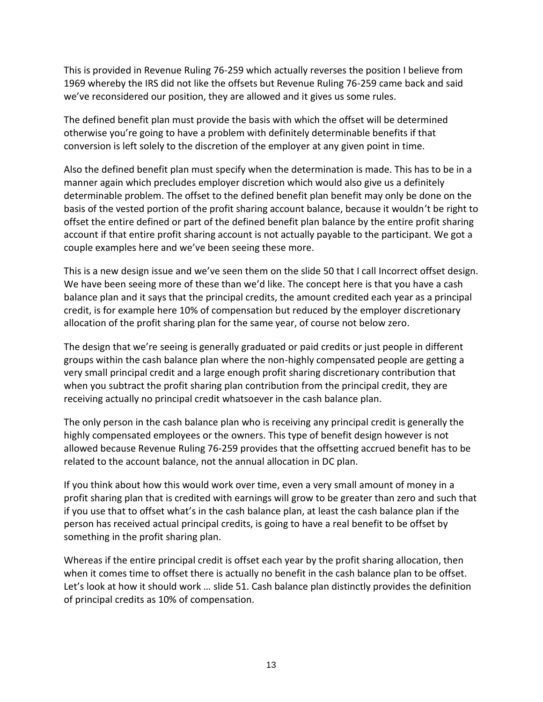This is provided in Revenue Ruling 76-259 which actually reverses the position I believe from 1969 whereby the IRS did not like the offsets but Revenue Ruling 76-259 came back and said we've reconsidered our position, they are allowed and it gives us some rules.

The defined benefit plan must provide the basis with which the offset will be determined otherwise you're going to have a problem with definitely determinable benefits if that conversion is left solely to the discretion of the employer at any given point in time.

Also the defined benefit plan must specify when the determination is made. This has to be in a manner again which precludes employer discretion which would also give us a definitely determinable problem. The offset to the defined benefit plan benefit may only be done on the basis of the vested portion of the profit sharing account balance, because it wouldn't be right to offset the entire defined or part of the defined benefit plan balance by the entire profit sharing account if that entire profit sharing account is not actually payable to the participant. We got a couple examples here and we've been seeing these more.

This is a new design issue and we've seen them on the slide 50 that I call Incorrect offset design. We have been seeing more of these than we'd like. The concept here is that you have a cash balance plan and it says that the principal credits, the amount credited each year as a principal credit, is for example here 10% of compensation but reduced by the employer discretionary allocation of the profit sharing plan for the same year, of course not below zero.

The design that we're seeing is generally graduated or paid credits or just people in different groups within the cash balance plan where the non-highly compensated people are getting a very small principal credit and a large enough profit sharing discretionary contribution that when you subtract the profit sharing plan contribution from the principal credit, they are receiving actually no principal credit whatsoever in the cash balance plan.

The only person in the cash balance plan who is receiving any principal credit is generally the highly compensated employees or the owners. This type of benefit design however is not allowed because Revenue Ruling 76-259 provides that the offsetting accrued benefit has to be related to the account balance, not the annual allocation in DC plan.

If you think about how this would work over time, even a very small amount of money in a profit sharing plan that is credited with earnings will grow to be greater than zero and such that if you use that to offset what's in the cash balance plan, at least the cash balance plan if the person has received actual principal credits, is going to have a real benefit to be offset by something in the profit sharing plan.

Whereas if the entire principal credit is offset each year by the profit sharing allocation, then when it comes time to offset there is actually no benefit in the cash balance plan to be offset. Let's look at how it should work … slide 51. Cash balance plan distinctly provides the definition of principal credits as 10% of compensation.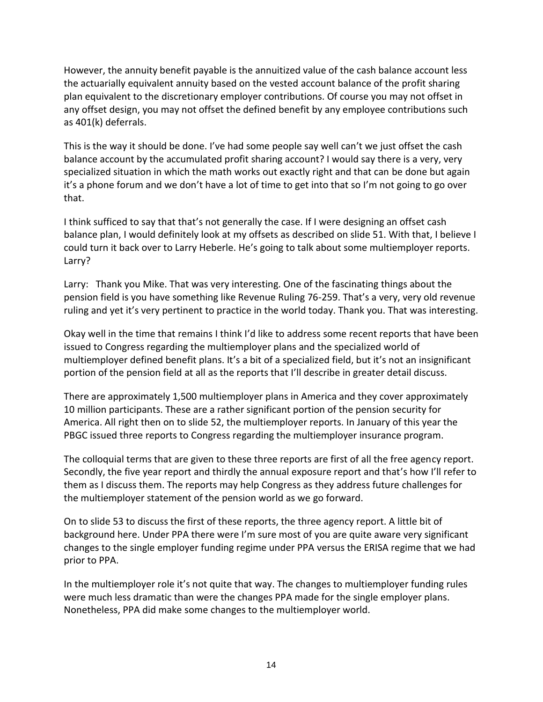However, the annuity benefit payable is the annuitized value of the cash balance account less the actuarially equivalent annuity based on the vested account balance of the profit sharing plan equivalent to the discretionary employer contributions. Of course you may not offset in any offset design, you may not offset the defined benefit by any employee contributions such as 401(k) deferrals.

This is the way it should be done. I've had some people say well can't we just offset the cash balance account by the accumulated profit sharing account? I would say there is a very, very specialized situation in which the math works out exactly right and that can be done but again it's a phone forum and we don't have a lot of time to get into that so I'm not going to go over that.

I think sufficed to say that that's not generally the case. If I were designing an offset cash balance plan, I would definitely look at my offsets as described on slide 51. With that, I believe I could turn it back over to Larry Heberle. He's going to talk about some multiemployer reports. Larry?

Larry: Thank you Mike. That was very interesting. One of the fascinating things about the pension field is you have something like Revenue Ruling 76-259. That's a very, very old revenue ruling and yet it's very pertinent to practice in the world today. Thank you. That was interesting.

Okay well in the time that remains I think I'd like to address some recent reports that have been issued to Congress regarding the multiemployer plans and the specialized world of multiemployer defined benefit plans. It's a bit of a specialized field, but it's not an insignificant portion of the pension field at all as the reports that I'll describe in greater detail discuss.

There are approximately 1,500 multiemployer plans in America and they cover approximately 10 million participants. These are a rather significant portion of the pension security for America. All right then on to slide 52, the multiemployer reports. In January of this year the PBGC issued three reports to Congress regarding the multiemployer insurance program.

The colloquial terms that are given to these three reports are first of all the free agency report. Secondly, the five year report and thirdly the annual exposure report and that's how I'll refer to them as I discuss them. The reports may help Congress as they address future challenges for the multiemployer statement of the pension world as we go forward.

On to slide 53 to discuss the first of these reports, the three agency report. A little bit of background here. Under PPA there were I'm sure most of you are quite aware very significant changes to the single employer funding regime under PPA versus the ERISA regime that we had prior to PPA.

In the multiemployer role it's not quite that way. The changes to multiemployer funding rules were much less dramatic than were the changes PPA made for the single employer plans. Nonetheless, PPA did make some changes to the multiemployer world.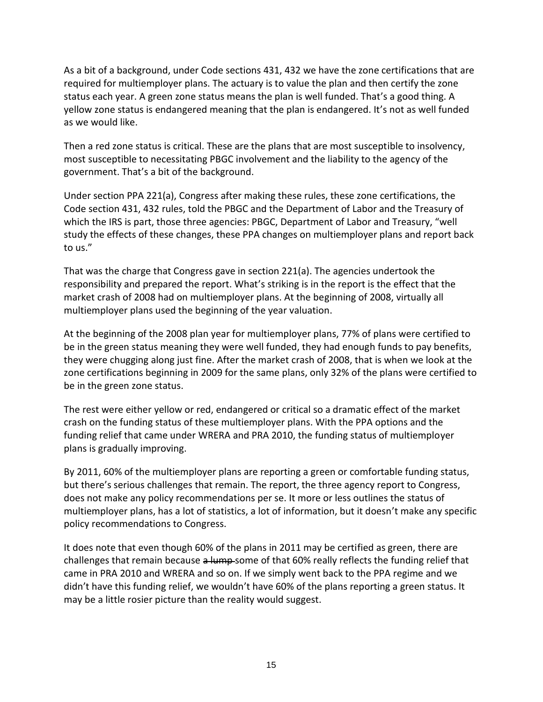As a bit of a background, under Code sections 431, 432 we have the zone certifications that are required for multiemployer plans. The actuary is to value the plan and then certify the zone status each year. A green zone status means the plan is well funded. That's a good thing. A yellow zone status is endangered meaning that the plan is endangered. It's not as well funded as we would like.

Then a red zone status is critical. These are the plans that are most susceptible to insolvency, most susceptible to necessitating PBGC involvement and the liability to the agency of the government. That's a bit of the background.

Under section PPA 221(a), Congress after making these rules, these zone certifications, the Code section 431, 432 rules, told the PBGC and the Department of Labor and the Treasury of which the IRS is part, those three agencies: PBGC, Department of Labor and Treasury, "well study the effects of these changes, these PPA changes on multiemployer plans and report back to us."

That was the charge that Congress gave in section 221(a). The agencies undertook the responsibility and prepared the report. What's striking is in the report is the effect that the market crash of 2008 had on multiemployer plans. At the beginning of 2008, virtually all multiemployer plans used the beginning of the year valuation.

At the beginning of the 2008 plan year for multiemployer plans, 77% of plans were certified to be in the green status meaning they were well funded, they had enough funds to pay benefits, they were chugging along just fine. After the market crash of 2008, that is when we look at the zone certifications beginning in 2009 for the same plans, only 32% of the plans were certified to be in the green zone status.

The rest were either yellow or red, endangered or critical so a dramatic effect of the market crash on the funding status of these multiemployer plans. With the PPA options and the funding relief that came under WRERA and PRA 2010, the funding status of multiemployer plans is gradually improving.

By 2011, 60% of the multiemployer plans are reporting a green or comfortable funding status, but there's serious challenges that remain. The report, the three agency report to Congress, does not make any policy recommendations per se. It more or less outlines the status of multiemployer plans, has a lot of statistics, a lot of information, but it doesn't make any specific policy recommendations to Congress.

It does note that even though 60% of the plans in 2011 may be certified as green, there are challenges that remain because a lump-some of that 60% really reflects the funding relief that came in PRA 2010 and WRERA and so on. If we simply went back to the PPA regime and we didn't have this funding relief, we wouldn't have 60% of the plans reporting a green status. It may be a little rosier picture than the reality would suggest.